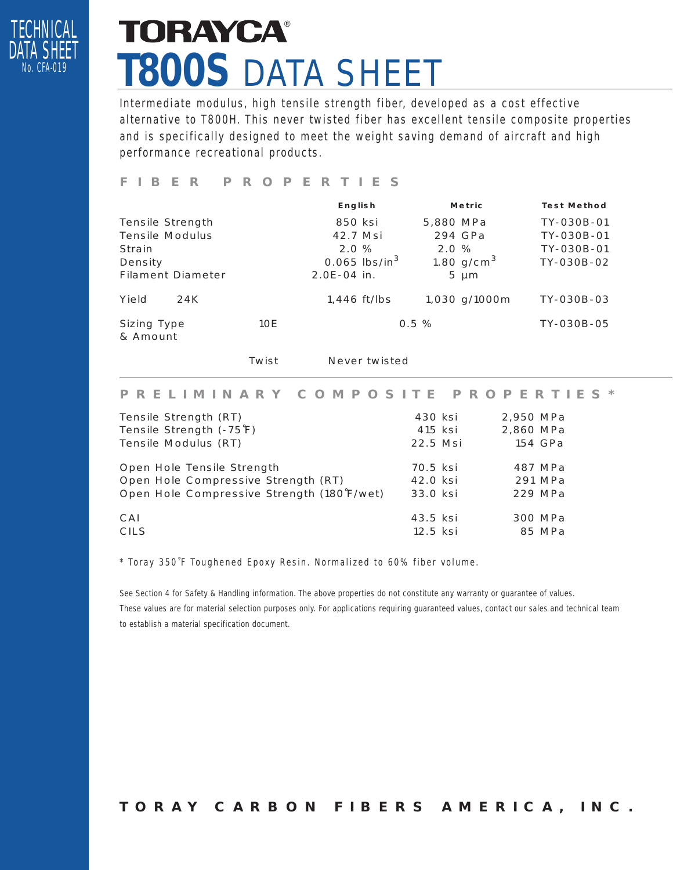

## **TORAYCA®** *T800S* DATA SHEET

Intermediate modulus, high tensile strength fiber, developed as a cost effective alternative to T800H. This never twisted fiber has excellent tensile composite properties and is specifically designed to meet the weight saving demand of aircraft and high performance recreational products.

#### *FIBER PROPERTIES*

|                          |     | <b>English</b>              |  | <b>Metric</b> |                 | <b>Test Method</b> |
|--------------------------|-----|-----------------------------|--|---------------|-----------------|--------------------|
| Tensile Strength         |     | 850 ksi                     |  | 5,880 MPa     |                 | TY-030B-01         |
| Tensile Modulus          |     | 42.7 Msi                    |  |               | 294 GPa         | TY-030B-01         |
| Strain                   |     | 2.0%                        |  | 2.0%          |                 | TY-030B-01         |
| Density                  |     | $0.065$ lbs/in <sup>3</sup> |  |               | 1.80 $g/cm^{3}$ | TY-030B-02         |
| <b>Filament Diameter</b> |     | $2.0E-04$ in.               |  |               | $5 \mu m$       |                    |
| Yield<br>24K             |     | 1,446 ft/lbs                |  |               | 1,030 g/1000m   | TY-030B-03         |
| Sizing Type<br>& Amount  | 10E |                             |  | $0.5 \%$      |                 | TY-030B-05         |

Twist Never twisted

#### *PRELIMINARY COMPOSITE PROPERTIES\**

| Tensile Strength (RT)                      | 430 ksi  | 2,950 MPa |
|--------------------------------------------|----------|-----------|
| Tensile Strength (-75°F)                   | 415 ksi  | 2,860 MPa |
| Tensile Modulus (RT)                       | 22.5 Msi | 154 GPa   |
| Open Hole Tensile Strength                 | 70.5 ksi | 487 MPa   |
| Open Hole Compressive Strength (RT)        | 42.0 ksi | 291 MPa   |
| Open Hole Compressive Strength (180°F/wet) | 33.0 ksi | 229 MPa   |
| CAI                                        | 43.5 ksi | 300 MPa   |
| <b>CILS</b>                                | 12.5 ksi | 85 MPa    |

\* Toray 350˚F Toughened Epoxy Resin. Normalized to 60% fiber volume.

See Section 4 for Safety & Handling information. The above properties do not constitute any warranty or guarantee of values. These values are for material selection purposes only. For applications requiring guaranteed values, contact our sales and technical team to establish a material specification document.

*TORAY CARBON FIBERS AMERICA, INC.*